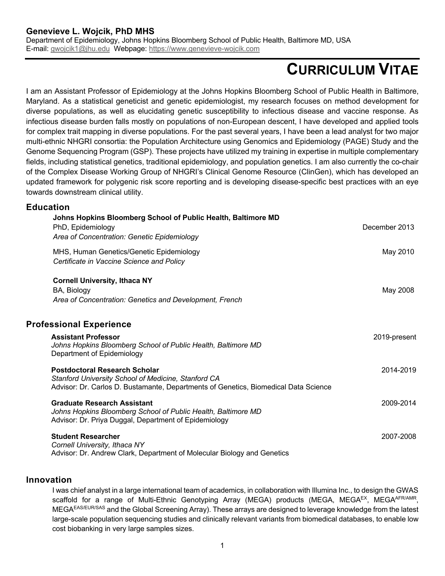# **CURRICULUM VITAE**

I am an Assistant Professor of Epidemiology at the Johns Hopkins Bloomberg School of Public Health in Baltimore, Maryland. As a statistical geneticist and genetic epidemiologist, my research focuses on method development for diverse populations, as well as elucidating genetic susceptibility to infectious disease and vaccine response. As infectious disease burden falls mostly on populations of non-European descent, I have developed and applied tools for complex trait mapping in diverse populations. For the past several years, I have been a lead analyst for two major multi-ethnic NHGRI consortia: the Population Architecture using Genomics and Epidemiology (PAGE) Study and the Genome Sequencing Program (GSP). These projects have utilized my training in expertise in multiple complementary fields, including statistical genetics, traditional epidemiology, and population genetics. I am also currently the co-chair of the Complex Disease Working Group of NHGRI's Clinical Genome Resource (ClinGen), which has developed an updated framework for polygenic risk score reporting and is developing disease-specific best practices with an eye towards downstream clinical utility.

#### **Education**

| PhD, Epidemiology                                          | Johns Hopkins Bloomberg School of Public Health, Baltimore MD<br>Area of Concentration: Genetic Epidemiology                               | December 2013 |
|------------------------------------------------------------|--------------------------------------------------------------------------------------------------------------------------------------------|---------------|
| Certificate in Vaccine Science and Policy                  | MHS, Human Genetics/Genetic Epidemiology                                                                                                   | May 2010      |
| <b>Cornell University, Ithaca NY</b><br>BA, Biology        | Area of Concentration: Genetics and Development, French                                                                                    | May 2008      |
| <b>Professional Experience</b>                             |                                                                                                                                            |               |
| <b>Assistant Professor</b><br>Department of Epidemiology   | Johns Hopkins Bloomberg School of Public Health, Baltimore MD                                                                              | 2019-present  |
| <b>Postdoctoral Research Scholar</b>                       | Stanford University School of Medicine, Stanford CA<br>Advisor: Dr. Carlos D. Bustamante, Departments of Genetics, Biomedical Data Science | 2014-2019     |
| <b>Graduate Research Assistant</b>                         | Johns Hopkins Bloomberg School of Public Health, Baltimore MD<br>Advisor: Dr. Priya Duggal, Department of Epidemiology                     | 2009-2014     |
| <b>Student Researcher</b><br>Cornell University, Ithaca NY | Advisor: Dr. Andrew Clark, Department of Molecular Biology and Genetics                                                                    | 2007-2008     |

#### **Innovation**

I was chief analyst in a large international team of academics, in collaboration with Illumina Inc., to design the GWAS scaffold for a range of Multi-Ethnic Genotyping Array (MEGA) products (MEGA, MEGAEX, MEGAAFR/AMR, MEGAEAS/EUR/SAS and the Global Screening Array). These arrays are designed to leverage knowledge from the latest large-scale population sequencing studies and clinically relevant variants from biomedical databases, to enable low cost biobanking in very large samples sizes.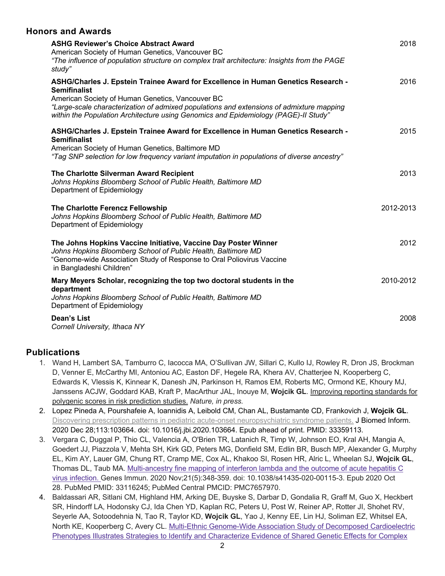#### **Honors and Awards**

| <b>ASHG Reviewer's Choice Abstract Award</b><br>American Society of Human Genetics, Vancouver BC<br>"The influence of population structure on complex trait architecture: Insights from the PAGE<br>study"                                                                                                                                      | 2018      |
|-------------------------------------------------------------------------------------------------------------------------------------------------------------------------------------------------------------------------------------------------------------------------------------------------------------------------------------------------|-----------|
| ASHG/Charles J. Epstein Trainee Award for Excellence in Human Genetics Research -<br><b>Semifinalist</b><br>American Society of Human Genetics, Vancouver BC<br>"Large-scale characterization of admixed populations and extensions of admixture mapping<br>within the Population Architecture using Genomics and Epidemiology (PAGE)-II Study" | 2016      |
| ASHG/Charles J. Epstein Trainee Award for Excellence in Human Genetics Research -<br><b>Semifinalist</b><br>American Society of Human Genetics, Baltimore MD<br>"Tag SNP selection for low frequency variant imputation in populations of diverse ancestry"                                                                                     | 2015      |
| The Charlotte Silverman Award Recipient<br>Johns Hopkins Bloomberg School of Public Health, Baltimore MD<br>Department of Epidemiology                                                                                                                                                                                                          | 2013      |
| The Charlotte Ferencz Fellowship<br>Johns Hopkins Bloomberg School of Public Health, Baltimore MD<br>Department of Epidemiology                                                                                                                                                                                                                 | 2012-2013 |
| The Johns Hopkins Vaccine Initiative, Vaccine Day Poster Winner<br>Johns Hopkins Bloomberg School of Public Health, Baltimore MD<br>"Genome-wide Association Study of Response to Oral Poliovirus Vaccine<br>in Bangladeshi Children"                                                                                                           | 2012      |
| Mary Meyers Scholar, recognizing the top two doctoral students in the<br>department<br>Johns Hopkins Bloomberg School of Public Health, Baltimore MD<br>Department of Epidemiology                                                                                                                                                              | 2010-2012 |
| <b>Dean's List</b><br>Cornell University, Ithaca NY                                                                                                                                                                                                                                                                                             | 2008      |

## **Publications**

- 1. Wand H, Lambert SA, Tamburro C, Iacocca MA, O'Sullivan JW, Sillari C, Kullo IJ, Rowley R, Dron JS, Brockman D, Venner E, McCarthy MI, Antoniou AC, Easton DF, Hegele RA, Khera AV, Chatterjee N, Kooperberg C, Edwards K, Vlessis K, Kinnear K, Danesh JN, Parkinson H, Ramos EM, Roberts MC, Ormond KE, Khoury MJ, Janssens ACJW, Goddard KAB, Kraft P, MacArthur JAL, Inouye M, **Wojcik GL**. Improving reporting standards for polygenic scores in risk prediction studies. *Nature, in press.*
- 2. Lopez Pineda A, Pourshafeie A, Ioannidis A, Leibold CM, Chan AL, Bustamante CD, Frankovich J, **Wojcik GL**. Discovering prescription patterns in pediatric acute-onset neuropsychiatric syndrome patients. J Biomed Inform. 2020 Dec 28;113:103664. doi: 10.1016/j.jbi.2020.103664. Epub ahead of print. PMID: 33359113.
- 3. Vergara C, Duggal P, Thio CL, Valencia A, O'Brien TR, Latanich R, Timp W, Johnson EO, Kral AH, Mangia A, Goedert JJ, Piazzola V, Mehta SH, Kirk GD, Peters MG, Donfield SM, Edlin BR, Busch MP, Alexander G, Murphy EL, Kim AY, Lauer GM, Chung RT, Cramp ME, Cox AL, Khakoo SI, Rosen HR, Alric L, Wheelan SJ, **Wojcik GL**, Thomas DL, Taub MA. Multi-ancestry fine mapping of interferon lambda and the outcome of acute hepatitis C virus infection. Genes Immun. 2020 Nov;21(5):348-359. doi: 10.1038/s41435-020-00115-3. Epub 2020 Oct 28. PubMed PMID: 33116245; PubMed Central PMCID: PMC7657970.
- 4. Baldassari AR, Sitlani CM, Highland HM, Arking DE, Buyske S, Darbar D, Gondalia R, Graff M, Guo X, Heckbert SR, Hindorff LA, Hodonsky CJ, Ida Chen YD, Kaplan RC, Peters U, Post W, Reiner AP, Rotter JI, Shohet RV, Seyerle AA, Sotoodehnia N, Tao R, Taylor KD, **Wojcik GL**, Yao J, Kenny EE, Lin HJ, Soliman EZ, Whitsel EA, North KE, Kooperberg C, Avery CL. Multi-Ethnic Genome-Wide Association Study of Decomposed Cardioelectric Phenotypes Illustrates Strategies to Identify and Characterize Evidence of Shared Genetic Effects for Complex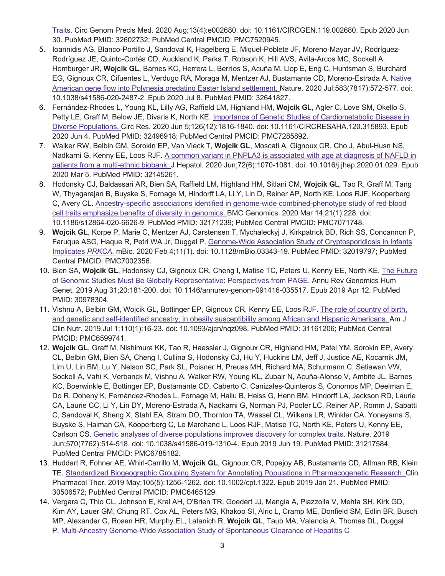Traits. Circ Genom Precis Med. 2020 Aug;13(4):e002680. doi: 10.1161/CIRCGEN.119.002680. Epub 2020 Jun 30. PubMed PMID: 32602732; PubMed Central PMCID: PMC7520945.

- 5. Ioannidis AG, Blanco-Portillo J, Sandoval K, Hagelberg E, Miquel-Poblete JF, Moreno-Mayar JV, Rodríguez-Rodríguez JE, Quinto-Cortés CD, Auckland K, Parks T, Robson K, Hill AVS, Avila-Arcos MC, Sockell A, Homburger JR, **Wojcik GL**, Barnes KC, Herrera L, Berríos S, Acuña M, Llop E, Eng C, Huntsman S, Burchard EG, Gignoux CR, Cifuentes L, Verdugo RA, Moraga M, Mentzer AJ, Bustamante CD, Moreno-Estrada A. Native American gene flow into Polynesia predating Easter Island settlement. Nature. 2020 Jul;583(7817):572-577. doi: 10.1038/s41586-020-2487-2. Epub 2020 Jul 8. PubMed PMID: 32641827.
- 6. Fernández-Rhodes L, Young KL, Lilly AG, Raffield LM, Highland HM, **Wojcik G**L, Agler C, Love SM, Okello S, Petty LE, Graff M, Below JE, Divaris K, North KE. Importance of Genetic Studies of Cardiometabolic Disease in Diverse Populations. Circ Res. 2020 Jun 5;126(12):1816-1840. doi: 10.1161/CIRCRESAHA.120.315893. Epub 2020 Jun 4. PubMed PMID: 32496918; PubMed Central PMCID: PMC7285892.
- 7. Walker RW, Belbin GM, Sorokin EP, Van Vleck T, **Wojcik GL**, Moscati A, Gignoux CR, Cho J, Abul-Husn NS, Nadkarni G, Kenny EE, Loos RJF. A common variant in PNPLA3 is associated with age at diagnosis of NAFLD in patients from a multi-ethnic biobank. J Hepatol. 2020 Jun;72(6):1070-1081. doi: 10.1016/j.jhep.2020.01.029. Epub 2020 Mar 5. PubMed PMID: 32145261.
- 8. Hodonsky CJ, Baldassari AR, Bien SA, Raffield LM, Highland HM, Sitlani CM, **Wojcik G**L, Tao R, Graff M, Tang W, Thyagarajan B, Buyske S, Fornage M, Hindorff LA, Li Y, Lin D, Reiner AP, North KE, Loos RJF, Kooperberg C, Avery CL. Ancestry-specific associations identified in genome-wide combined-phenotype study of red blood cell traits emphasize benefits of diversity in genomics. BMC Genomics. 2020 Mar 14;21(1):228. doi: 10.1186/s12864-020-6626-9. PubMed PMID: 32171239; PubMed Central PMCID: PMC7071748.
- 9. **Wojcik GL**, Korpe P, Marie C, Mentzer AJ, Carstensen T, Mychaleckyj J, Kirkpatrick BD, Rich SS, Concannon P, Faruque ASG, Haque R, Petri WA Jr, Duggal P. Genome-Wide Association Study of Cryptosporidiosis in Infants Implicates *PRKCA*. mBio. 2020 Feb 4;11(1). doi: 10.1128/mBio.03343-19. PubMed PMID: 32019797; PubMed Central PMCID: PMC7002356.
- 10. Bien SA, **Wojcik GL**, Hodonsky CJ, Gignoux CR, Cheng I, Matise TC, Peters U, Kenny EE, North KE. The Future of Genomic Studies Must Be Globally Representative: Perspectives from PAGE. Annu Rev Genomics Hum Genet. 2019 Aug 31;20:181-200. doi: 10.1146/annurev-genom-091416-035517. Epub 2019 Apr 12. PubMed PMID: 30978304.
- 11. Vishnu A, Belbin GM, Wojcik GL, Bottinger EP, Gignoux CR, Kenny EE, Loos RJF. The role of country of birth, and genetic and self-identified ancestry, in obesity susceptibility among African and Hispanic Americans. Am J Clin Nutr. 2019 Jul 1;110(1):16-23. doi: 10.1093/ajcn/nqz098. PubMed PMID: 31161206; PubMed Central PMCID: PMC6599741.
- 12. **Wojcik GL**, Graff M, Nishimura KK, Tao R, Haessler J, Gignoux CR, Highland HM, Patel YM, Sorokin EP, Avery CL, Belbin GM, Bien SA, Cheng I, Cullina S, Hodonsky CJ, Hu Y, Huckins LM, Jeff J, Justice AE, Kocarnik JM, Lim U, Lin BM, Lu Y, Nelson SC, Park SL, Poisner H, Preuss MH, Richard MA, Schurmann C, Setiawan VW, Sockell A, Vahi K, Verbanck M, Vishnu A, Walker RW, Young KL, Zubair N, Acuña-Alonso V, Ambite JL, Barnes KC, Boerwinkle E, Bottinger EP, Bustamante CD, Caberto C, Canizales-Quinteros S, Conomos MP, Deelman E, Do R, Doheny K, Fernández-Rhodes L, Fornage M, Hailu B, Heiss G, Henn BM, Hindorff LA, Jackson RD, Laurie CA, Laurie CC, Li Y, Lin DY, Moreno-Estrada A, Nadkarni G, Norman PJ, Pooler LC, Reiner AP, Romm J, Sabatti C, Sandoval K, Sheng X, Stahl EA, Stram DO, Thornton TA, Wassel CL, Wilkens LR, Winkler CA, Yoneyama S, Buyske S, Haiman CA, Kooperberg C, Le Marchand L, Loos RJF, Matise TC, North KE, Peters U, Kenny EE, Carlson CS. Genetic analyses of diverse populations improves discovery for complex traits. Nature. 2019 Jun;570(7762):514-518. doi: 10.1038/s41586-019-1310-4. Epub 2019 Jun 19. PubMed PMID: 31217584; PubMed Central PMCID: PMC6785182.
- 13. Huddart R, Fohner AE, Whirl-Carrillo M, **Wojcik GL**, Gignoux CR, Popejoy AB, Bustamante CD, Altman RB, Klein TE. Standardized Biogeographic Grouping System for Annotating Populations in Pharmacogenetic Research. Clin Pharmacol Ther. 2019 May;105(5):1256-1262. doi: 10.1002/cpt.1322. Epub 2019 Jan 21. PubMed PMID: 30506572; PubMed Central PMCID: PMC6465129.
- 14. Vergara C, Thio CL, Johnson E, Kral AH, O'Brien TR, Goedert JJ, Mangia A, Piazzolla V, Mehta SH, Kirk GD, Kim AY, Lauer GM, Chung RT, Cox AL, Peters MG, Khakoo SI, Alric L, Cramp ME, Donfield SM, Edlin BR, Busch MP, Alexander G, Rosen HR, Murphy EL, Latanich R, **Wojcik GL**, Taub MA, Valencia A, Thomas DL, Duggal P. Multi-Ancestry Genome-Wide Association Study of Spontaneous Clearance of Hepatitis C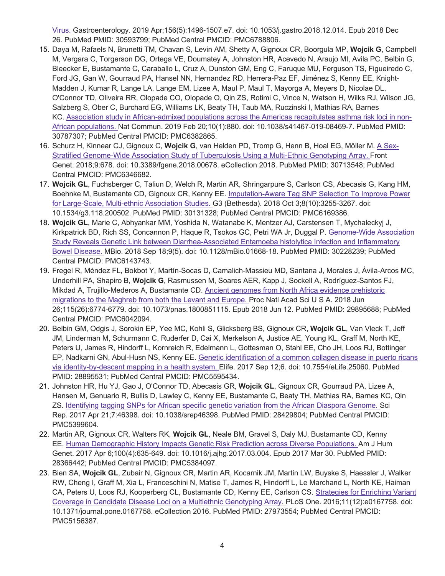Virus. Gastroenterology. 2019 Apr;156(5):1496-1507.e7. doi: 10.1053/j.gastro.2018.12.014. Epub 2018 Dec 26. PubMed PMID: 30593799; PubMed Central PMCID: PMC6788806.

- 15. Daya M, Rafaels N, Brunetti TM, Chavan S, Levin AM, Shetty A, Gignoux CR, Boorgula MP, **Wojcik G**, Campbell M, Vergara C, Torgerson DG, Ortega VE, Doumatey A, Johnston HR, Acevedo N, Araujo MI, Avila PC, Belbin G, Bleecker E, Bustamante C, Caraballo L, Cruz A, Dunston GM, Eng C, Faruque MU, Ferguson TS, Figueiredo C, Ford JG, Gan W, Gourraud PA, Hansel NN, Hernandez RD, Herrera-Paz EF, Jiménez S, Kenny EE, Knight-Madden J, Kumar R, Lange LA, Lange EM, Lizee A, Maul P, Maul T, Mayorga A, Meyers D, Nicolae DL, O'Connor TD, Oliveira RR, Olopade CO, Olopade O, Qin ZS, Rotimi C, Vince N, Watson H, Wilks RJ, Wilson JG, Salzberg S, Ober C, Burchard EG, Williams LK, Beaty TH, Taub MA, Ruczinski I, Mathias RA, Barnes KC. Association study in African-admixed populations across the Americas recapitulates asthma risk loci in non-African populations. Nat Commun. 2019 Feb 20;10(1):880. doi: 10.1038/s41467-019-08469-7. PubMed PMID: 30787307; PubMed Central PMCID: PMC6382865.
- 16. Schurz H, Kinnear CJ, Gignoux C, **Wojcik G**, van Helden PD, Tromp G, Henn B, Hoal EG, Möller M. A Sex-Stratified Genome-Wide Association Study of Tuberculosis Using a Multi-Ethnic Genotyping Array. Front Genet. 2018;9:678. doi: 10.3389/fgene.2018.00678. eCollection 2018. PubMed PMID: 30713548; PubMed Central PMCID: PMC6346682.
- 17. **Wojcik GL**, Fuchsberger C, Taliun D, Welch R, Martin AR, Shringarpure S, Carlson CS, Abecasis G, Kang HM, Boehnke M, Bustamante CD, Gignoux CR, Kenny EE. Imputation-Aware Tag SNP Selection To Improve Power for Large-Scale, Multi-ethnic Association Studies. G3 (Bethesda). 2018 Oct 3;8(10):3255-3267. doi: 10.1534/g3.118.200502. PubMed PMID: 30131328; PubMed Central PMCID: PMC6169386.
- 18. **Wojcik GL**, Marie C, Abhyankar MM, Yoshida N, Watanabe K, Mentzer AJ, Carstensen T, Mychaleckyj J, Kirkpatrick BD, Rich SS, Concannon P, Haque R, Tsokos GC, Petri WA Jr, Duggal P. Genome-Wide Association Study Reveals Genetic Link between Diarrhea-Associated Entamoeba histolytica Infection and Inflammatory Bowel Disease. MBio. 2018 Sep 18;9(5). doi: 10.1128/mBio.01668-18. PubMed PMID: 30228239; PubMed Central PMCID: PMC6143743.
- 19. Fregel R, Méndez FL, Bokbot Y, Martín-Socas D, Camalich-Massieu MD, Santana J, Morales J, Ávila-Arcos MC, Underhill PA, Shapiro B, **Wojcik G**, Rasmussen M, Soares AER, Kapp J, Sockell A, Rodríguez-Santos FJ, Mikdad A, Trujillo-Mederos A, Bustamante CD. Ancient genomes from North Africa evidence prehistoric migrations to the Maghreb from both the Levant and Europe. Proc Natl Acad Sci U S A. 2018 Jun 26;115(26):6774-6779. doi: 10.1073/pnas.1800851115. Epub 2018 Jun 12. PubMed PMID: 29895688; PubMed Central PMCID: PMC6042094.
- 20. Belbin GM, Odgis J, Sorokin EP, Yee MC, Kohli S, Glicksberg BS, Gignoux CR, **Wojcik GL**, Van Vleck T, Jeff JM, Linderman M, Schurmann C, Ruderfer D, Cai X, Merkelson A, Justice AE, Young KL, Graff M, North KE, Peters U, James R, Hindorff L, Kornreich R, Edelmann L, Gottesman O, Stahl EE, Cho JH, Loos RJ, Bottinger EP, Nadkarni GN, Abul-Husn NS, Kenny EE. Genetic identification of a common collagen disease in puerto ricans via identity-by-descent mapping in a health system. Elife. 2017 Sep 12;6. doi: 10.7554/eLife.25060. PubMed PMID: 28895531; PubMed Central PMCID: PMC5595434.
- 21. Johnston HR, Hu YJ, Gao J, O'Connor TD, Abecasis GR, **Wojcik GL**, Gignoux CR, Gourraud PA, Lizee A, Hansen M, Genuario R, Bullis D, Lawley C, Kenny EE, Bustamante C, Beaty TH, Mathias RA, Barnes KC, Qin ZS. Identifying tagging SNPs for African specific genetic variation from the African Diaspora Genome. Sci Rep. 2017 Apr 21;7:46398. doi: 10.1038/srep46398. PubMed PMID: 28429804; PubMed Central PMCID: PMC5399604.
- 22. Martin AR, Gignoux CR, Walters RK, **Wojcik GL**, Neale BM, Gravel S, Daly MJ, Bustamante CD, Kenny EE. Human Demographic History Impacts Genetic Risk Prediction across Diverse Populations. Am J Hum Genet. 2017 Apr 6;100(4):635-649. doi: 10.1016/j.ajhg.2017.03.004. Epub 2017 Mar 30. PubMed PMID: 28366442; PubMed Central PMCID: PMC5384097.
- 23. Bien SA, **Wojcik GL**, Zubair N, Gignoux CR, Martin AR, Kocarnik JM, Martin LW, Buyske S, Haessler J, Walker RW, Cheng I, Graff M, Xia L, Franceschini N, Matise T, James R, Hindorff L, Le Marchand L, North KE, Haiman CA, Peters U, Loos RJ, Kooperberg CL, Bustamante CD, Kenny EE, Carlson CS. Strategies for Enriching Variant Coverage in Candidate Disease Loci on a Multiethnic Genotyping Array. PLoS One. 2016;11(12):e0167758. doi: 10.1371/journal.pone.0167758. eCollection 2016. PubMed PMID: 27973554; PubMed Central PMCID: PMC5156387.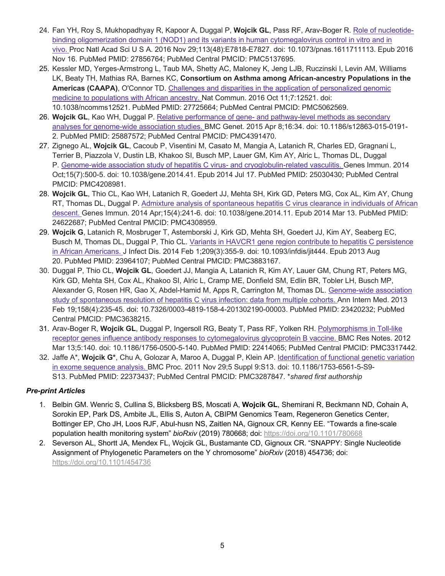- 24. Fan YH, Roy S, Mukhopadhyay R, Kapoor A, Duggal P, **Wojcik GL**, Pass RF, Arav-Boger R. Role of nucleotidebinding oligomerization domain 1 (NOD1) and its variants in human cytomegalovirus control in vitro and in vivo. Proc Natl Acad Sci U S A. 2016 Nov 29;113(48):E7818-E7827. doi: 10.1073/pnas.1611711113. Epub 2016 Nov 16. PubMed PMID: 27856764; PubMed Central PMCID: PMC5137695.
- 25. Kessler MD, Yerges-Armstrong L, Taub MA, Shetty AC, Maloney K, Jeng LJB, Ruczinski I, Levin AM, Williams LK, Beaty TH, Mathias RA, Barnes KC, **Consortium on Asthma among African-ancestry Populations in the Americas (CAAPA)**, O'Connor TD. Challenges and disparities in the application of personalized genomic medicine to populations with African ancestry. Nat Commun. 2016 Oct 11;7:12521. doi: 10.1038/ncomms12521. PubMed PMID: 27725664; PubMed Central PMCID: PMC5062569.
- 26. **Wojcik GL**, Kao WH, Duggal P. Relative performance of gene- and pathway-level methods as secondary analyses for genome-wide association studies. BMC Genet. 2015 Apr 8;16:34. doi: 10.1186/s12863-015-0191- 2. PubMed PMID: 25887572; PubMed Central PMCID: PMC4391470.
- 27. Zignego AL, **Wojcik GL**, Cacoub P, Visentini M, Casato M, Mangia A, Latanich R, Charles ED, Gragnani L, Terrier B, Piazzola V, Dustin LB, Khakoo SI, Busch MP, Lauer GM, Kim AY, Alric L, Thomas DL, Duggal P. Genome-wide association study of hepatitis C virus- and cryoglobulin-related vasculitis. Genes Immun. 2014 Oct;15(7):500-5. doi: 10.1038/gene.2014.41. Epub 2014 Jul 17. PubMed PMID: 25030430; PubMed Central PMCID: PMC4208981.
- 28. **Wojcik GL**, Thio CL, Kao WH, Latanich R, Goedert JJ, Mehta SH, Kirk GD, Peters MG, Cox AL, Kim AY, Chung RT, Thomas DL, Duggal P. Admixture analysis of spontaneous hepatitis C virus clearance in individuals of African descent. Genes Immun. 2014 Apr;15(4):241-6. doi: 10.1038/gene.2014.11. Epub 2014 Mar 13. PubMed PMID: 24622687; PubMed Central PMCID: PMC4308959.
- 29. **Wojcik G**, Latanich R, Mosbruger T, Astemborski J, Kirk GD, Mehta SH, Goedert JJ, Kim AY, Seaberg EC, Busch M, Thomas DL, Duggal P, Thio CL. Variants in HAVCR1 gene region contribute to hepatitis C persistence in African Americans. J Infect Dis. 2014 Feb 1;209(3):355-9. doi: 10.1093/infdis/jit444. Epub 2013 Aug 20. PubMed PMID: 23964107; PubMed Central PMCID: PMC3883167.
- 30. Duggal P, Thio CL, **Wojcik GL**, Goedert JJ, Mangia A, Latanich R, Kim AY, Lauer GM, Chung RT, Peters MG, Kirk GD, Mehta SH, Cox AL, Khakoo SI, Alric L, Cramp ME, Donfield SM, Edlin BR, Tobler LH, Busch MP, Alexander G, Rosen HR, Gao X, Abdel-Hamid M, Apps R, Carrington M, Thomas DL. Genome-wide association study of spontaneous resolution of hepatitis C virus infection: data from multiple cohorts. Ann Intern Med. 2013 Feb 19;158(4):235-45. doi: 10.7326/0003-4819-158-4-201302190-00003. PubMed PMID: 23420232; PubMed Central PMCID: PMC3638215.
- 31. Arav-Boger R, **Wojcik GL**, Duggal P, Ingersoll RG, Beaty T, Pass RF, Yolken RH. Polymorphisms in Toll-like receptor genes influence antibody responses to cytomegalovirus glycoprotein B vaccine. BMC Res Notes. 2012 Mar 13;5:140. doi: 10.1186/1756-0500-5-140. PubMed PMID: 22414065; PubMed Central PMCID: PMC3317442.
- 32. Jaffe A\*, **Wojcik G\***, Chu A, Golozar A, Maroo A, Duggal P, Klein AP. Identification of functional genetic variation in exome sequence analysis. BMC Proc. 2011 Nov 29;5 Suppl 9:S13. doi: 10.1186/1753-6561-5-S9- S13. PubMed PMID: 22373437; PubMed Central PMCID: PMC3287847. \**shared first authorship*

## *Pre-print Articles*

- 1. Belbin GM. Wenric S, Cullina S, Blicksberg BS, Moscati A, **Wojcik GL**, Shemirani R, Beckmann ND, Cohain A, Sorokin EP, Park DS, Ambite JL, Ellis S, Auton A, CBIPM Genomics Team, Regeneron Genetics Center, Bottinger EP, Cho JH, Loos RJF, Abul-husn NS, Zaitlen NA, Gignoux CR, Kenny EE. "Towards a fine-scale population health monitoring system" *bioRxiv* (2019) 780668; doi: https://doi.org/10.1101/780668
- 2. Severson AL, Shortt JA, Mendex FL, Wojcik GL, Bustamante CD, Gignoux CR. "SNAPPY: Single Nucleotide Assignment of Phylogenetic Parameters on the Y chromosome" *bioRxiv* (2018) 454736; doi: https://doi.org/10.1101/454736